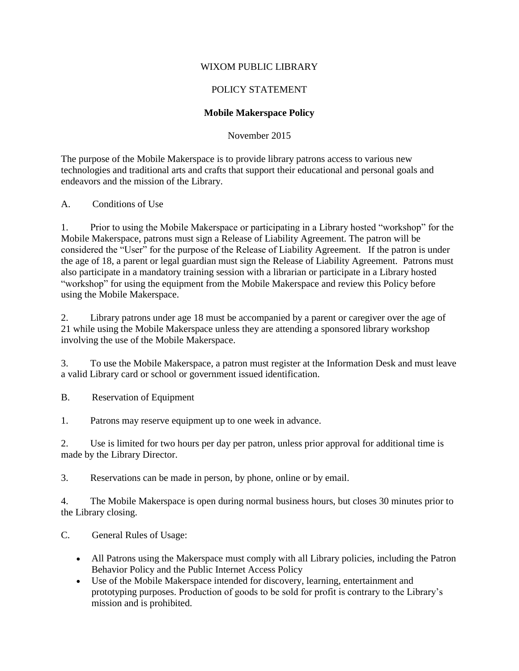## WIXOM PUBLIC LIBRARY

# POLICY STATEMENT

### **Mobile Makerspace Policy**

### November 2015

The purpose of the Mobile Makerspace is to provide library patrons access to various new technologies and traditional arts and crafts that support their educational and personal goals and endeavors and the mission of the Library.

### A. Conditions of Use

1. Prior to using the Mobile Makerspace or participating in a Library hosted "workshop" for the Mobile Makerspace, patrons must sign a Release of Liability Agreement. The patron will be considered the "User" for the purpose of the Release of Liability Agreement. If the patron is under the age of 18, a parent or legal guardian must sign the Release of Liability Agreement. Patrons must also participate in a mandatory training session with a librarian or participate in a Library hosted "workshop" for using the equipment from the Mobile Makerspace and review this Policy before using the Mobile Makerspace.

2. Library patrons under age 18 must be accompanied by a parent or caregiver over the age of 21 while using the Mobile Makerspace unless they are attending a sponsored library workshop involving the use of the Mobile Makerspace.

3. To use the Mobile Makerspace, a patron must register at the Information Desk and must leave a valid Library card or school or government issued identification.

B. Reservation of Equipment

1. Patrons may reserve equipment up to one week in advance.

2. Use is limited for two hours per day per patron, unless prior approval for additional time is made by the Library Director.

3. Reservations can be made in person, by phone, online or by email.

4. The Mobile Makerspace is open during normal business hours, but closes 30 minutes prior to the Library closing.

C. General Rules of Usage:

- All Patrons using the Makerspace must comply with all Library policies, including the Patron Behavior Policy and the Public Internet Access Policy
- Use of the Mobile Makerspace intended for discovery, learning, entertainment and prototyping purposes. Production of goods to be sold for profit is contrary to the Library's mission and is prohibited.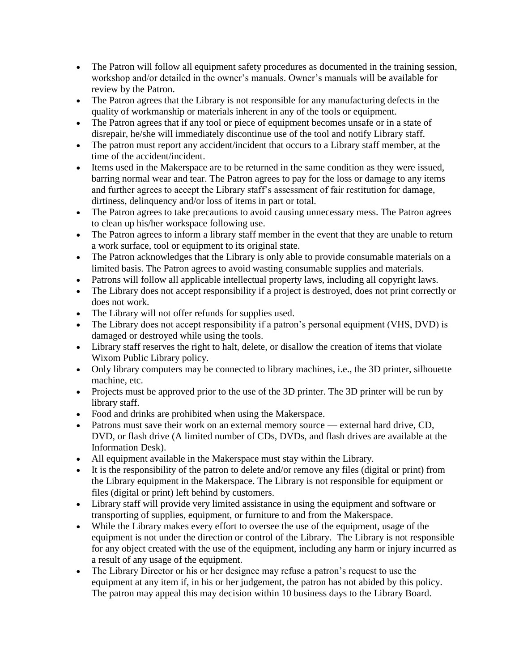- The Patron will follow all equipment safety procedures as documented in the training session, workshop and/or detailed in the owner's manuals. Owner's manuals will be available for review by the Patron.
- The Patron agrees that the Library is not responsible for any manufacturing defects in the quality of workmanship or materials inherent in any of the tools or equipment.
- The Patron agrees that if any tool or piece of equipment becomes unsafe or in a state of disrepair, he/she will immediately discontinue use of the tool and notify Library staff.
- The patron must report any accident/incident that occurs to a Library staff member, at the time of the accident/incident.
- Items used in the Makerspace are to be returned in the same condition as they were issued, barring normal wear and tear. The Patron agrees to pay for the loss or damage to any items and further agrees to accept the Library staff's assessment of fair restitution for damage, dirtiness, delinquency and/or loss of items in part or total.
- The Patron agrees to take precautions to avoid causing unnecessary mess. The Patron agrees to clean up his/her workspace following use.
- The Patron agrees to inform a library staff member in the event that they are unable to return a work surface, tool or equipment to its original state.
- The Patron acknowledges that the Library is only able to provide consumable materials on a limited basis. The Patron agrees to avoid wasting consumable supplies and materials.
- Patrons will follow all applicable intellectual property laws, including all copyright laws.
- The Library does not accept responsibility if a project is destroyed, does not print correctly or does not work.
- The Library will not offer refunds for supplies used.
- The Library does not accept responsibility if a patron's personal equipment (VHS, DVD) is damaged or destroyed while using the tools.
- Library staff reserves the right to halt, delete, or disallow the creation of items that violate Wixom Public Library policy.
- Only library computers may be connected to library machines, i.e., the 3D printer, silhouette machine, etc.
- Projects must be approved prior to the use of the 3D printer. The 3D printer will be run by library staff.
- Food and drinks are prohibited when using the Makerspace.
- Patrons must save their work on an external memory source external hard drive, CD, DVD, or flash drive (A limited number of CDs, DVDs, and flash drives are available at the Information Desk).
- All equipment available in the Makerspace must stay within the Library.
- It is the responsibility of the patron to delete and/or remove any files (digital or print) from the Library equipment in the Makerspace. The Library is not responsible for equipment or files (digital or print) left behind by customers.
- Library staff will provide very limited assistance in using the equipment and software or transporting of supplies, equipment, or furniture to and from the Makerspace.
- While the Library makes every effort to oversee the use of the equipment, usage of the equipment is not under the direction or control of the Library. The Library is not responsible for any object created with the use of the equipment, including any harm or injury incurred as a result of any usage of the equipment.
- The Library Director or his or her designee may refuse a patron's request to use the equipment at any item if, in his or her judgement, the patron has not abided by this policy. The patron may appeal this may decision within 10 business days to the Library Board.